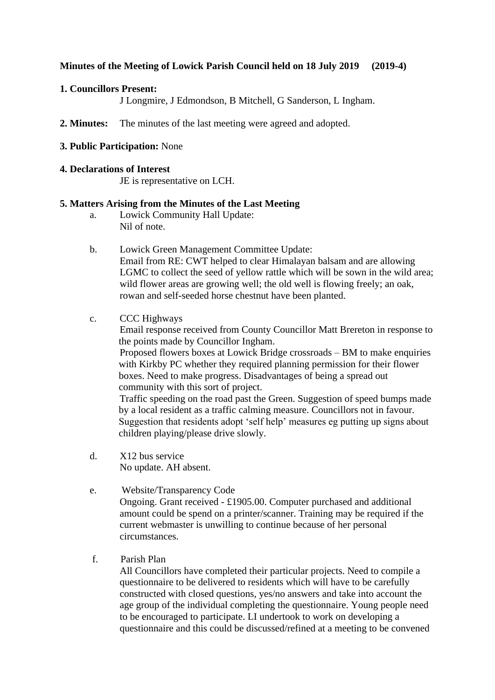# **Minutes of the Meeting of Lowick Parish Council held on 18 July 2019 (2019-4)**

### **1. Councillors Present:**

J Longmire, J Edmondson, B Mitchell, G Sanderson, L Ingham.

**2. Minutes:** The minutes of the last meeting were agreed and adopted.

## **3. Public Participation:** None

### **4. Declarations of Interest**

JE is representative on LCH.

## **5. Matters Arising from the Minutes of the Last Meeting**

- a. Lowick Community Hall Update: Nil of note.
- b. Lowick Green Management Committee Update: Email from RE: CWT helped to clear Himalayan balsam and are allowing LGMC to collect the seed of yellow rattle which will be sown in the wild area; wild flower areas are growing well; the old well is flowing freely; an oak, rowan and self-seeded horse chestnut have been planted.

## c. CCC Highways

Email response received from County Councillor Matt Brereton in response to the points made by Councillor Ingham.

Proposed flowers boxes at Lowick Bridge crossroads – BM to make enquiries with Kirkby PC whether they required planning permission for their flower boxes. Need to make progress. Disadvantages of being a spread out community with this sort of project.

Traffic speeding on the road past the Green. Suggestion of speed bumps made by a local resident as a traffic calming measure. Councillors not in favour. Suggestion that residents adopt 'self help' measures eg putting up signs about children playing/please drive slowly.

- d. X12 bus service No update. AH absent.
- e. Website/Transparency Code Ongoing. Grant received - £1905.00. Computer purchased and additional amount could be spend on a printer/scanner. Training may be required if the current webmaster is unwilling to continue because of her personal circumstances.
- f. Parish Plan

All Councillors have completed their particular projects. Need to compile a questionnaire to be delivered to residents which will have to be carefully constructed with closed questions, yes/no answers and take into account the age group of the individual completing the questionnaire. Young people need to be encouraged to participate. LI undertook to work on developing a questionnaire and this could be discussed/refined at a meeting to be convened